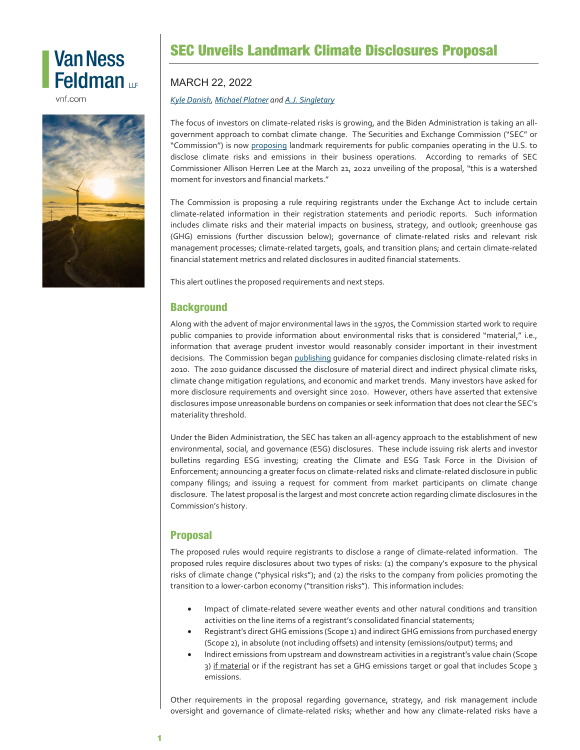# **Van Ness** Feldman up

vnf.com



## SEC Unveils Landmark Climate Disclosures Proposal

#### MARCH 22, 2022

#### *[Kyle Danish,](https://www.vnf.com/kdanish) [Michael Platner](https://www.vnf.com/mplatner) an[d A.J. Singletary](https://www.vnf.com/asingletary)*

The focus of investors on climate-related risks is growing, and the Biden Administration is taking an allgovernment approach to combat climate change. The Securities and Exchange Commission ("SEC" or "Commission") is now [proposing](https://www.sec.gov/rules/proposed/2022/33-11042.pdf) landmark requirements for public companies operating in the U.S. to disclose climate risks and emissions in their business operations. According to remarks of SEC Commissioner Allison Herren Lee at the March 21, 2022 unveiling of the proposal, "this is a watershed moment for investors and financial markets."

The Commission is proposing a rule requiring registrants under the Exchange Act to include certain climate-related information in their registration statements and periodic reports. Such information includes climate risks and their material impacts on business, strategy, and outlook; greenhouse gas (GHG) emissions (further discussion below); governance of climate-related risks and relevant risk management processes; climate-related targets, goals, and transition plans; and certain climate-related financial statement metrics and related disclosures in audited financial statements.

This alert outlines the proposed requirements and next steps.

### **Background**

Along with the advent of major environmental laws in the 1970s, the Commission started work to require public companies to provide information about environmental risks that is considered "material," i.e., information that average prudent investor would reasonably consider important in their investment decisions. The Commission bega[n publishing](https://www.sec.gov/rules/interp/2010/33-9106.pdf) quidance for companies disclosing climate-related risks in 2010. The 2010 guidance discussed the disclosure of material direct and indirect physical climate risks, climate change mitigation regulations, and economic and market trends. Many investors have asked for more disclosure requirements and oversight since 2010. However, others have asserted that extensive disclosures impose unreasonable burdens on companies or seek information that does not clear the SEC's materiality threshold.

Under the Biden Administration, the SEC has taken an all-agency approach to the establishment of new environmental, social, and governance (ESG) disclosures. These include issuing risk alerts and investor bulletins regarding ESG investing; creating the Climate and ESG Task Force in the Division of Enforcement; announcing a greater focus on climate-related risks and climate-related disclosure in public company filings; and issuing a request for comment from market participants on climate change disclosure. The latest proposal is the largest and most concrete action regarding climate disclosures in the Commission's history.

### Proposal

The proposed rules would require registrants to disclose a range of climate-related information. The proposed rules require disclosures about two types of risks: (1) the company's exposure to the physical risks of climate change ("physical risks"); and (2) the risks to the company from policies promoting the transition to a lower-carbon economy ("transition risks"). This information includes:

- Impact of climate-related severe weather events and other natural conditions and transition activities on the line items of a registrant's consolidated financial statements;
- Registrant's direct GHG emissions (Scope 1) and indirect GHG emissions from purchased energy (Scope 2), in absolute (not including offsets) and intensity (emissions/output) terms; and
- Indirect emissions from upstream and downstream activities in a registrant's value chain (Scope 3) if material or if the registrant has set a GHG emissions target or goal that includes Scope 3 emissions.

Other requirements in the proposal regarding governance, strategy, and risk management include oversight and governance of climate-related risks; whether and how any climate-related risks have a